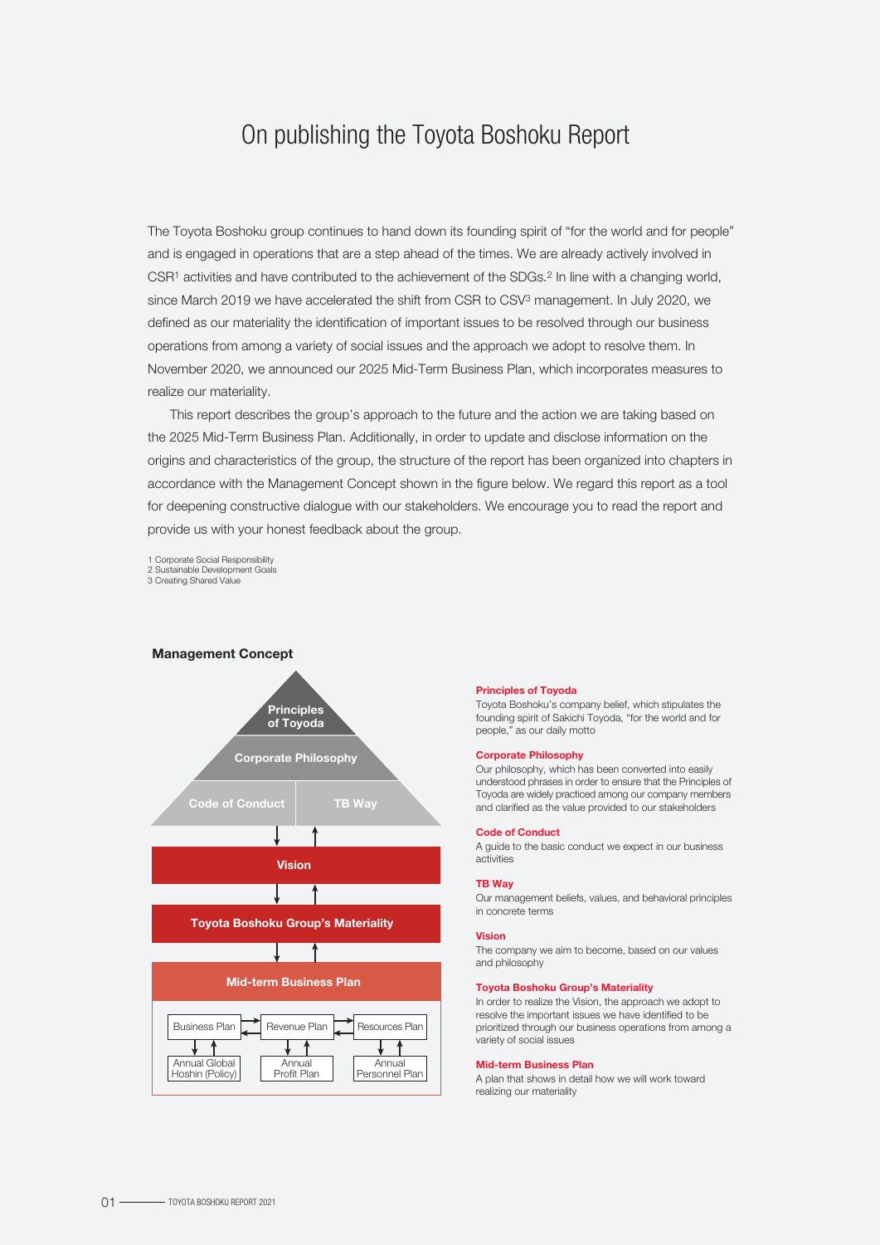# On publishing the Toyota Boshoku Report

The Toyota Boshoku group continues to hand down its founding spirit of "for the world and for people" and is engaged in operations that are a step ahead of the times. We are already actively involved in CSR1 activities and have contributed to the achievement of the SDGs.2 In line with a changing world, since March 2019 we have accelerated the shift from CSR to CSV<sup>3</sup> management. In July 2020, we defined as our materiality the identification of important issues to be resolved through our business operations from among a variety of social issues and the approach we adopt to resolve them. In November 2020, we announced our 2025 Mid-Term Business Plan, which incorporates measures to realize our materiality.

 This report describes the group's approach to the future and the action we are taking based on the 2025 Mid-Term Business Plan. Additionally, in order to update and disclose information on the origins and characteristics of the group, the structure of the report has been organized into chapters in accordance with the Management Concept shown in the figure below. We regard this report as a tool for deepening constructive dialogue with our stakeholders. We encourage you to read the report and provide us with your honest feedback about the group.

1 Corporate Social Responsibility

2 Sustainable Development Goals 3 Creating Shared Value



#### Principles of Toyoda

Toyota Boshoku's company belief, which stipulates the founding spirit of Sakichi Toyoda, "for the world and for people," as our daily motto

#### Corporate Philosophy

Our philosophy, which has been converted into easily understood phrases in order to ensure that the Principles of Toyoda are widely practiced among our company members and clarified as the value provided to our stakeholders

#### Code of Conduct

A guide to the basic conduct we expect in our business activities

#### TB Way

Our management beliefs, values, and behavioral principles in concrete terms

#### Vision

The company we aim to become, based on our values and philosophy

#### Toyota Boshoku Group's Materiality

In order to realize the Vision, the approach we adopt to resolve the important issues we have identified to be prioritized through our business operations from among a variety of social issues

#### Mid-term Business Plan

A plan that shows in detail how we will work toward realizing our materiality